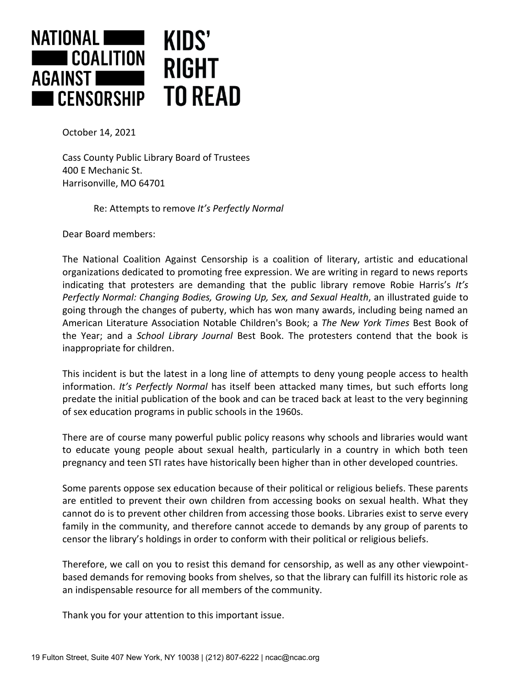

October 14, 2021

Cass County Public Library Board of Trustees 400 E Mechanic St. Harrisonville, MO 64701

Re: Attempts to remove *It's Perfectly Normal*

Dear Board members:

The National Coalition Against Censorship is a coalition of literary, artistic and educational organizations dedicated to promoting free expression. We are writing in regard to news reports indicating that protesters are demanding that the public library remove Robie Harris's *It's Perfectly Normal: Changing Bodies, Growing Up, Sex, and Sexual Health*, an illustrated guide to going through the changes of puberty, which has won many awards, including being named an American Literature Association Notable Children's Book; a *The New York Times* Best Book of the Year; and a *School Library Journal* Best Book. The protesters contend that the book is inappropriate for children.

This incident is but the latest in a long line of attempts to deny young people access to health information. *It's Perfectly Normal* has itself been attacked many times, but such efforts long predate the initial publication of the book and can be traced back at least to the very beginning of sex education programs in public schools in the 1960s.

There are of course many powerful public policy reasons why schools and libraries would want to educate young people about sexual health, particularly in a country in which both teen pregnancy and teen STI rates have historically been higher than in other developed countries.

Some parents oppose sex education because of their political or religious beliefs. These parents are entitled to prevent their own children from accessing books on sexual health. What they cannot do is to prevent other children from accessing those books. Libraries exist to serve every family in the community, and therefore cannot accede to demands by any group of parents to censor the library's holdings in order to conform with their political or religious beliefs.

Therefore, we call on you to resist this demand for censorship, as well as any other viewpointbased demands for removing books from shelves, so that the library can fulfill its historic role as an indispensable resource for all members of the community.

Thank you for your attention to this important issue.